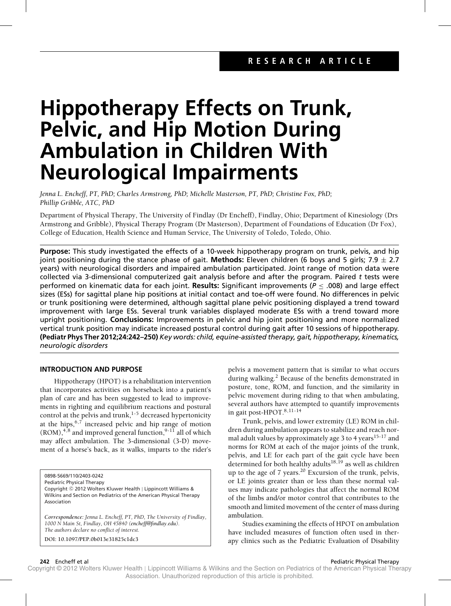# **Hippotherapy Effects on Trunk, Pelvic, and Hip Motion During Ambulation in Children With Neurological Impairments**

*Jenna L. Encheff, PT, PhD; Charles Armstrong, PhD; Michelle Masterson, PT, PhD; Christine Fox, PhD; Phillip Gribble, ATC, PhD*

Department of Physical Therapy, The University of Findlay (Dr Encheff), Findlay, Ohio; Department of Kinesiology (Drs Armstrong and Gribble), Physical Therapy Program (Dr Masterson), Department of Foundations of Education (Dr Fox), College of Education, Health Science and Human Service, The University of Toledo, Toledo, Ohio.

**Purpose:** This study investigated the effects of a 10-week hippotherapy program on trunk, pelvis, and hip joint positioning during the stance phase of gait. **Methods:** Eleven children (6 boys and 5 girls; 7.9 ± 2.7 years) with neurological disorders and impaired ambulation participated. Joint range of motion data were collected via 3-dimensional computerized gait analysis before and after the program. Paired *t* tests were performed on kinematic data for each joint. **Results:** Significant improvements (*P* ≤ .008) and large effect sizes (ESs) for sagittal plane hip positions at initial contact and toe-off were found. No differences in pelvic or trunk positioning were determined, although sagittal plane pelvic positioning displayed a trend toward improvement with large ESs. Several trunk variables displayed moderate ESs with a trend toward more upright positioning. **Conclusions:** Improvements in pelvic and hip joint positioning and more normalized vertical trunk position may indicate increased postural control during gait after 10 sessions of hippotherapy. **(Pediatr Phys Ther 2012;24:242–250)** *Key words: child, equine-assisted therapy, gait, hippotherapy, kinematics, neurologic disorders*

# **INTRODUCTION AND PURPOSE**

Hippotherapy (HPOT) is a rehabilitation intervention that incorporates activities on horseback into a patient's plan of care and has been suggested to lead to improvements in righting and equilibrium reactions and postural control at the pelvis and trunk, $1-5$  decreased hypertonicity at the hips,  $6,7$  increased pelvic and hip range of motion  $(ROM)$ ,<sup>4,8</sup> and improved general function,<sup>9-11</sup> all of which may affect ambulation. The 3-dimensional (3-D) movement of a horse's back, as it walks, imparts to the rider's

0898-5669/110/2403-0242

Pediatric Physical Therapy Copyright <sup>C</sup> 2012 Wolters Kluwer Health | Lippincott Williams & Wilkins and Section on Pediatrics of the American Physical Therapy Association

*Correspondence: Jenna L. Encheff, PT, PhD, The University of Findlay, 1000 N Main St, Findlay, OH 45840 [\(encheff@findlay.edu\)](mailto:encheff@findlay.edu). The authors declare no conflict of interest.*

**DOI: 10.1097/PEP.0b013e31825c1dc3**

pelvis a movement pattern that is similar to what occurs during walking.<sup>2</sup> Because of the benefits demonstrated in posture, tone, ROM, and function, and the similarity in pelvic movement during riding to that when ambulating, several authors have attempted to quantify improvements in gait post-HPOT. $8,11-14$ 

Trunk, pelvis, and lower extremity (LE) ROM in children during ambulation appears to stabilize and reach normal adult values by approximately age 3 to 4 years<sup>15-17</sup> and norms for ROM at each of the major joints of the trunk, pelvis, and LE for each part of the gait cycle have been determined for both healthy adults18,19 as well as children up to the age of 7 years.<sup>20</sup> Excursion of the trunk, pelvis, or LE joints greater than or less than these normal values may indicate pathologies that affect the normal ROM of the limbs and/or motor control that contributes to the smooth and limited movement of the center of mass during ambulation.

Studies examining the effects of HPOT on ambulation have included measures of function often used in therapy clinics such as the Pediatric Evaluation of Disability

**242** Encheff et al **Pediatric Physical Therapy Pediatric Physical Therapy Pediatric Physical Therapy**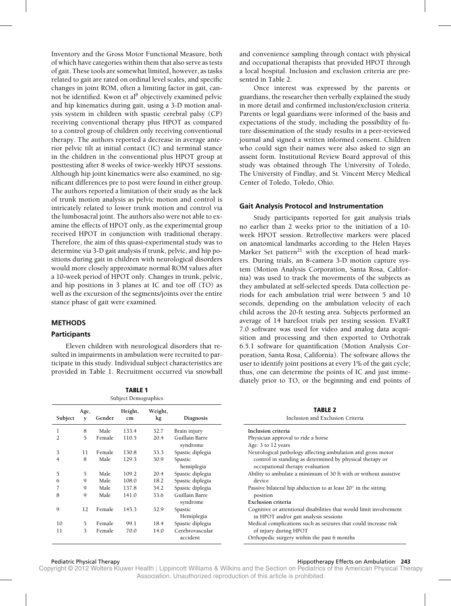Inventory and the Gross Motor Functional Measure, both of which have categories within them that also serve as tests of gait. These tools are somewhat limited, however, as tasks related to gait are rated on ordinal level scales, and specific changes in joint ROM, often a limiting factor in gait, cannot be identified. Kwon et al<sup>8</sup> objectively examined pelvic and hip kinematics during gait, using a 3-D motion analysis system in children with spastic cerebral palsy (CP) receiving conventional therapy plus HPOT as compared to a control group of children only receiving conventional therapy. The authors reported a decrease in average anterior pelvic tilt at initial contact (IC) and terminal stance in the children in the conventional plus HPOT group at posttesting after 8 weeks of twice-weekly HPOT sessions. Although hip joint kinematics were also examined, no significant differences pre to post were found in either group. The authors reported a limitation of their study as the lack of trunk motion analysis as pelvic motion and control is intricately related to lower trunk motion and control via the lumbosacral joint. The authors also were not able to examine the effects of HPOT only, as the experimental group received HPOT in conjunction with traditional therapy. Therefore, the aim of this quasi-experimental study was to determine via 3-D gait analysis if trunk, pelvic, and hip positions during gait in children with neurological disorders would more closely approximate normal ROM values after a 10-week period of HPOT only. Changes in trunk, pelvic, and hip positions in 3 planes at IC and toe off (TO) as well as the excursion of the segments/joints over the entire stance phase of gait were examined.

# **METHODS**

# **Participants**

Eleven children with neurological disorders that resulted in impairments in ambulation were recruited to participate in this study. Individual subject characteristics are provided in Table 1. Recruitment occurred via snowball

**TABLE 1** Subject Demographics **Subject Age, y Gender Height, cm Weight, kg Diagnosis** 1 8 Male 133.4 32.7 Brain injury 2 5 Female 110.5 20.4 Guillain Barre syndrome 3 11 Female 130.8 33.3 Spastic diplegia 4 8 Male 129.3 30.9 Spastic hemiplegia 5 5 Male 109.2 20.4 Spastic diplegia 6 9 Male 108.0 18.2 Spastic diplegia 7 9 Male 137.8 34.2 Spastic diplegia 8 9 Male 141.0 33.6 Guillain Barre syndrome 9 12 Female 145.3 32.9 Spastic Hemiplegia 10 5 Female 99.1 18.4 Spastic diplegia 11 3 Female 70.0 14.0 Cerebrovascular accident

and convenience sampling through contact with physical and occupational therapists that provided HPOT through a local hospital. Inclusion and exclusion criteria are presented in Table 2.

Once interest was expressed by the parents or guardians, the researcher then verbally explained the study in more detail and confirmed inclusion/exclusion criteria. Parents or legal guardians were informed of the basis and expectations of the study, including the possibility of future dissemination of the study results in a peer-reviewed journal and signed a written informed consent. Children who could sign their names were also asked to sign an assent form. Institutional Review Board approval of this study was obtained through The University of Toledo, The University of Findlay, and St. Vincent Mercy Medical Center of Toledo, Toledo, Ohio.

# **Gait Analysis Protocol and Instrumentation**

Study participants reported for gait analysis trials no earlier than 2 weeks prior to the initiation of a 10 week HPOT session. Retroflective markers were placed on anatomical landmarks according to the Helen Hayes Marker Set pattern $^{21}$  with the exception of head markers. During trials, an 8-camera 3-D motion capture system (Motion Analysis Corporation, Santa Rosa, California) was used to track the movements of the subjects as they ambulated at self-selected speeds. Data collection periods for each ambulation trial were between 5 and 10 seconds, depending on the ambulation velocity of each child across the 20-ft testing area. Subjects performed an average of 14 barefoot trials per testing session. EVaRT 7.0 software was used for video and analog data acquisition and processing and then exported to Orthotrak 6.5.1 software for quantification (Motion Analysis Corporation, Santa Rosa, California). The software allows the user to identify joint positions at every 1% of the gait cycle; thus, one can determine the points of IC and just immediately prior to TO, or the beginning and end points of

**TABLE 2**

| Inclusion and Exclusion Criteria                                                                            |  |
|-------------------------------------------------------------------------------------------------------------|--|
| Inclusion criteria                                                                                          |  |
| Physician approval to ride a horse                                                                          |  |
| Age: 3 to 12 years                                                                                          |  |
| Neurological pathology affecting ambulation and gross motor                                                 |  |
| control in standing as determined by physical therapy or<br>occupational therapy evaluation                 |  |
| Ability to ambulate a minimum of 30 ft with or without assistive<br>device                                  |  |
| Passive bilateral hip abduction to at least $20^{\circ}$ in the sitting<br>position                         |  |
| Exclusion criteria                                                                                          |  |
| Cognitive or attentional disabilities that would limit involvement<br>in HPOT and/or gait analysis sessions |  |
| Medical complications such as seizures that could increase risk<br>of injury during HPOT                    |  |
| Orthopedic surgery within the past 6 months                                                                 |  |

#### Pediatric Physical Therapy **Microsoft Contracts on Ambulation 243 Hippotherapy Effects on Ambulation 243**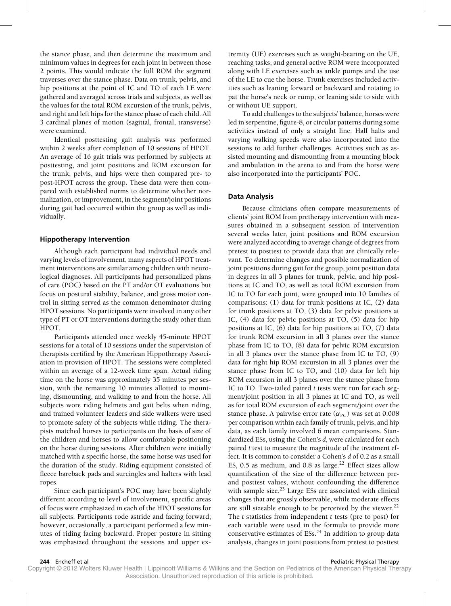the stance phase, and then determine the maximum and minimum values in degrees for each joint in between those 2 points. This would indicate the full ROM the segment traverses over the stance phase. Data on trunk, pelvis, and hip positions at the point of IC and TO of each LE were gathered and averaged across trials and subjects, as well as the values for the total ROM excursion of the trunk, pelvis, and right and left hips for the stance phase of each child. All 3 cardinal planes of motion (sagittal, frontal, transverse) were examined.

Identical posttesting gait analysis was performed within 2 weeks after completion of 10 sessions of HPOT. An average of 16 gait trials was performed by subjects at posttesting, and joint positions and ROM excursion for the trunk, pelvis, and hips were then compared pre- to post-HPOT across the group. These data were then compared with established norms to determine whether normalization, or improvement, in the segment/joint positions during gait had occurred within the group as well as individually.

### **Hippotherapy Intervention**

Although each participant had individual needs and varying levels of involvement, many aspects of HPOT treatment interventions are similar among children with neurological diagnoses. All participants had personalized plans of care (POC) based on the PT and/or OT evaluations but focus on postural stability, balance, and gross motor control in sitting served as the common denominator during HPOT sessions. No participants were involved in any other type of PT or OT interventions during the study other than HPOT.

Participants attended once weekly 45-minute HPOT sessions for a total of 10 sessions under the supervision of therapists certified by the American Hippotherapy Association in provision of HPOT. The sessions were completed within an average of a 12-week time span. Actual riding time on the horse was approximately 35 minutes per session, with the remaining 10 minutes allotted to mounting, dismounting, and walking to and from the horse. All subjects wore riding helmets and gait belts when riding, and trained volunteer leaders and side walkers were used to promote safety of the subjects while riding. The therapists matched horses to participants on the basis of size of the children and horses to allow comfortable positioning on the horse during sessions. After children were initially matched with a specific horse, the same horse was used for the duration of the study. Riding equipment consisted of fleece bareback pads and surcingles and halters with lead ropes.

Since each participant's POC may have been slightly different according to level of involvement, specific areas of focus were emphasized in each of the HPOT sessions for all subjects. Participants rode astride and facing forward; however, occasionally, a participant performed a few minutes of riding facing backward. Proper posture in sitting was emphasized throughout the sessions and upper extremity (UE) exercises such as weight-bearing on the UE, reaching tasks, and general active ROM were incorporated along with LE exercises such as ankle pumps and the use of the LE to cue the horse. Trunk exercises included activities such as leaning forward or backward and rotating to pat the horse's neck or rump, or leaning side to side with or without UE support.

To add challenges to the subjects' balance, horses were led in serpentine, figure-8, or circular patterns during some activities instead of only a straight line. Half halts and varying walking speeds were also incorporated into the sessions to add further challenges. Activities such as assisted mounting and dismounting from a mounting block and ambulation in the arena to and from the horse were also incorporated into the participants' POC.

## **Data Analysis**

Because clinicians often compare measurements of clients' joint ROM from pretherapy intervention with measures obtained in a subsequent session of intervention several weeks later, joint positions and ROM excursion were analyzed according to average change of degrees from pretest to posttest to provide data that are clinically relevant. To determine changes and possible normalization of joint positions during gait for the group, joint position data in degrees in all 3 planes for trunk, pelvic, and hip positions at IC and TO, as well as total ROM excursion from IC to TO for each joint, were grouped into 10 families of comparisons: (1) data for trunk positions at IC, (2) data for trunk positions at TO, (3) data for pelvic positions at IC, (4) data for pelvic positions at TO, (5) data for hip positions at IC, (6) data for hip positions at TO, (7) data for trunk ROM excursion in all 3 planes over the stance phase from IC to TO, (8) data for pelvic ROM excursion in all 3 planes over the stance phase from IC to TO, (9) data for right hip ROM excursion in all 3 planes over the stance phase from IC to TO, and (10) data for left hip ROM excursion in all 3 planes over the stance phase from IC to TO. Two-tailed paired *t* tests were run for each segment/joint position in all 3 planes at IC and TO, as well as for total ROM excursion of each segment/joint over the stance phase. A pairwise error rate  $(\alpha_{PC})$  was set at 0.008 per comparison within each family of trunk, pelvis, and hip data, as each family involved 6 mean comparisons. Standardized ESs, using the Cohen's *d*, were calculated for each paired *t* test to measure the magnitude of the treatment effect. It is common to consider a Cohen's *d* of 0.2 as a small ES, 0.5 as medium, and 0.8 as large.<sup>22</sup> Effect sizes allow quantification of the size of the difference between preand posttest values, without confounding the difference with sample size. $^{23}$  Large ESs are associated with clinical changes that are grossly observable, while moderate effects are still sizeable enough to be perceived by the viewer.<sup>22</sup> The *t* statistics from independent *t* tests (pre to post) for each variable were used in the formula to provide more conservative estimates of  $ESS$ <sup>24</sup> In addition to group data analysis, changes in joint positions from pretest to posttest

#### **244** Encheff et al **Pediatric Physical Therapy Pediatric Physical Therapy Pediatric Physical Therapy**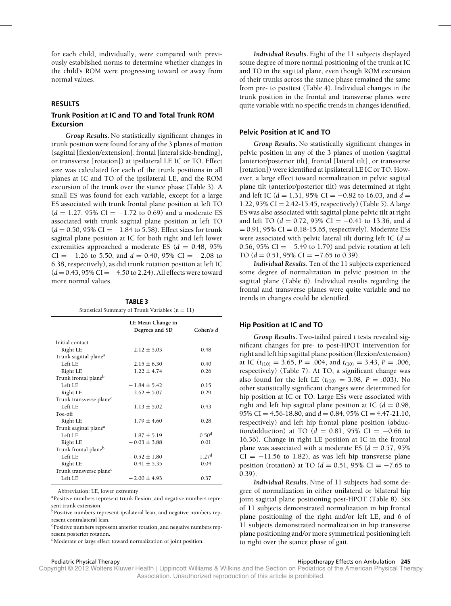for each child, individually, were compared with previously established norms to determine whether changes in the child's ROM were progressing toward or away from normal values.

# **RESULTS**

# **Trunk Position at IC and TO and Total Trunk ROM Excursion**

*Group Results***.** No statistically significant changes in trunk position were found for any of the 3 planes of motion (sagittal [flexion/extension], frontal [lateral side-bending], or transverse [rotation]) at ipsilateral LE IC or TO. Effect size was calculated for each of the trunk positions in all planes at IC and TO of the ipsilateral LE, and the ROM excursion of the trunk over the stance phase (Table 3). A small ES was found for each variable, except for a large ES associated with trunk frontal plane position at left TO  $(d = 1.27, 95\% \text{ CI} = -1.72 \text{ to } 0.69)$  and a moderate ES associated with trunk sagittal plane position at left TO  $(d = 0.50, 95\% \text{ CI} = -1.84 \text{ to } 5.58)$ . Effect sizes for trunk sagittal plane position at IC for both right and left lower extremities approached a moderate ES  $(d = 0.48, 95\%)$ CI =  $-1.26$  to 5.50, and  $d = 0.40, 95\%$  CI =  $-2.08$  to 6.38, respectively), as did trunk rotation position at left IC (*d* = 0.43, 95% CI = −4.50 to 2.24). All effects were toward more normal values.

**TABLE 3** Statistical Summary of Trunk Variables  $(n = 11)$ 

|                                     | LE Mean Change in<br>Degrees and SD | Cohen's $d$       |
|-------------------------------------|-------------------------------------|-------------------|
| Initial contact                     |                                     |                   |
| Right LE                            | $2.12 \pm 5.03$                     | 0.48              |
| Trunk sagittal plane <sup>a</sup>   |                                     |                   |
| $I$ eft $I$ $F$                     | $2.15 \pm 6.30$                     | 0.40              |
| Right LE                            | $1.22 + 4.74$                       | 0.26              |
| Trunk frontal plane <sup>b</sup>    |                                     |                   |
| $I$ eft $I$ $F$                     | $-1.84 \pm 5.42$                    | 0.15              |
| Right LE                            | $2.62 + 5.07$                       | 0.29              |
| Trunk transverse plane <sup>c</sup> |                                     |                   |
| Left LE                             | $-1.13 + 5.02$                      | 0.43              |
| Toe-off                             |                                     |                   |
| Right LE                            | $1.79 \pm 4.60$                     | 0.28              |
| Trunk sagittal plane <sup>a</sup>   |                                     |                   |
| Left LE                             | $1.87 \pm 5.19$                     | 0.50 <sup>d</sup> |
| Right LE                            | $-0.03 \pm 3.88$                    | 0.01              |
| Trunk frontal plane <sup>b</sup>    |                                     |                   |
| Left LE                             | $-0.52 \pm 1.80$                    | 1.27 <sup>d</sup> |
| Right LE                            | $0.41 \pm 5.35$                     | 0.04              |
| Trunk transverse plane <sup>c</sup> |                                     |                   |
| Left LE                             | $-2.00 + 4.93$                      | 0.37              |
|                                     |                                     |                   |

Abbreviation: LE, lower extremity.

aPositive numbers represent trunk flexion, and negative numbers represent trunk extension.

bPositive numbers represent ipsilateral lean, and negative numbers represent contralateral lean.

cPositive numbers represent anterior rotation, and negative numbers represent posterior rotation.

<sup>d</sup>Moderate or large effect toward normalization of joint position.

*Individual Results***.** Eight of the 11 subjects displayed some degree of more normal positioning of the trunk at IC and TO in the sagittal plane, even though ROM excursion of their trunks across the stance phase remained the same from pre- to posttest (Table 4). Individual changes in the trunk position in the frontal and transverse planes were quite variable with no specific trends in changes identified.

# **Pelvic Position at IC and TO**

*Group Results***.** No statistically significant changes in pelvic position in any of the 3 planes of motion (sagittal [anterior/posterior tilt], frontal [lateral tilt], or transverse [rotation]) were identified at ipsilateral LE IC or TO. However, a large effect toward normalization in pelvic sagittal plane tilt (anterior/posterior tilt) was determined at right and left IC (*d* = 1.31, 95% CI = −0.82 to 16.03, and *d* = 1.22,  $95\%$  CI = 2.42-15.45, respectively) (Table 5). A large ES was also associated with sagittal plane pelvic tilt at right and left TO (*d* = 0.72, 95% CI = −0.41 to 13.36, and *d*  $= 0.91$ , 95% CI  $= 0.18 - 15.65$ , respectively). Moderate ESs were associated with pelvic lateral tilt during left IC  $(d =$ 0.56, 95% CI =  $-5.49$  to 1.79) and pelvic rotation at left TO  $(d = 0.51, 95\% \text{ CI} = -7.65 \text{ to } 0.39)$ .

*Individual Results***.** Ten of the 11 subjects experienced some degree of normalization in pelvic position in the sagittal plane (Table 6). Individual results regarding the frontal and transverse planes were quite variable and no trends in changes could be identified.

#### **Hip Position at IC and TO**

*Group Results***.** Two-tailed paired *t* tests revealed significant changes for pre- to post-HPOT intervention for right and left hip sagittal plane position (flexion/extension) at IC ( $t_{(10)} = 3.65$ ,  $P = .004$ , and  $t_{(10)} = 3.43$ ,  $P = .006$ , respectively) (Table 7). At TO, a significant change was also found for the left LE  $(t_{(10)} = 3.98, P = .003)$ . No other statistically significant changes were determined for hip position at IC or TO. Large ESs were associated with right and left hip sagittal plane position at IC ( $d = 0.98$ , 95% CI = 4.56-18.80, and *d* = 0.84, 95% CI = 4.47-21.10, respectively) and left hip frontal plane position (abduction/adduction) at TO  $(d = 0.81, 95\% \text{ CI} = -0.66 \text{ to}$ 16.36). Change in right LE position at IC in the frontal plane was associated with a moderate ES  $(d = 0.57, 95\%)$  $CI = -11.56$  to 1.82), as was left hip transverse plane position (rotation) at TO ( $d = 0.51$ , 95% CI =  $-7.65$  to 0.39).

*Individual Results***.** Nine of 11 subjects had some degree of normalization in either unilateral or bilateral hip joint sagittal plane positioning post-HPOT (Table 8). Six of 11 subjects demonstrated normalization in hip frontal plane positioning of the right and/or left LE, and 6 of 11 subjects demonstrated normalization in hip transverse plane positioning and/or more symmetrical positioning left to right over the stance phase of gait.

#### Pediatric Physical Therapy **Microsoft Contracts on Ambulation 245** Pediatric Physical Therapy Effects on Ambulation 245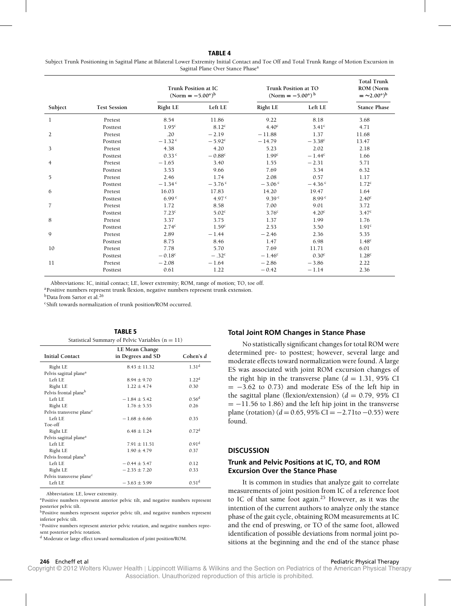## **TABLE 4**

Subject Trunk Positioning in Sagittal Plane at Bilateral Lower Extremity Initial Contact and Toe Off and Total Trunk Range of Motion Excursion in Sagittal Plane Over Stance Phasea

|                |                     | Trunk Position at IC<br>$(Norm = -5.00^{\circ})^b$ |                      | Trunk Position at TO<br>(Norm = $-5.00^{\circ}$ ) <sup>b</sup> | <b>Total Trunk</b><br>ROM (Norm<br>$=$ ~2.00°) <sup>b</sup> |                     |
|----------------|---------------------|----------------------------------------------------|----------------------|----------------------------------------------------------------|-------------------------------------------------------------|---------------------|
| Subject        | <b>Test Session</b> | Right LE                                           | Left LE              | <b>Right LE</b>                                                | Left LE                                                     | <b>Stance Phase</b> |
| 1              | Pretest             | 8.54                                               | 11.86                | 9.22                                                           | 8.18                                                        | 3.68                |
|                | Posttest            | 1.95 <sup>c</sup>                                  | 8.12 <sup>c</sup>    | 4.40 <sup>c</sup>                                              | 3.41 <sup>c</sup>                                           | 4.71                |
| 2              | Pretest             | .20                                                | $-2.19$              | $-11.88$                                                       | 1.37                                                        | 11.68               |
|                | Posttest            | $-1.32$ <sup>c</sup>                               | $-5.92^c$            | $-14.79$                                                       | $-3.38^{\circ}$                                             | 13.47               |
| 3              | Pretest             | 4.38                                               | 4.20                 | 5.23                                                           | 2.02                                                        | 2.18                |
|                | Posttest            | $0.33$ <sup>c</sup>                                | $-0.88^c$            | 1.99 <sup>c</sup>                                              | $-1.44^c$                                                   | 1.66                |
| $\overline{4}$ | Pretest             | $-1.65$                                            | 3.40                 | 1.55                                                           | $-2.31$                                                     | 5.71                |
|                | Posttest            | 3.53                                               | 9.66                 | 7.69                                                           | 3.34                                                        | 6.32                |
| 5              | Pretest             | 2.46                                               | 1.74                 | 2.08                                                           | 0.57                                                        | 1.17                |
|                | Posttest            | $-1.34$ <sup>c</sup>                               | $-3.76$ <sup>c</sup> | $-3.06$ c                                                      | $-4.36$ c                                                   | 1.72 <sup>c</sup>   |
| 6              | Pretest             | 16.03                                              | 17.83                | 14.20                                                          | 19.47                                                       | 1.64                |
|                | Posttest            | 6.99 <sup>c</sup>                                  | 4.97 $c$             | 9.39 <sup>c</sup>                                              | 8.99 <sup>c</sup>                                           | 2.40 <sup>c</sup>   |
| $\overline{7}$ | Pretest             | 1.72                                               | 8.58                 | 7.00                                                           | 9.01                                                        | 3.72                |
|                | Posttest            | 7.23 <sup>c</sup>                                  | 5.02 <sup>c</sup>    | 3.76 <sup>c</sup>                                              | 4.20 <sup>c</sup>                                           | 3.47 <sup>c</sup>   |
| 8              | Pretest             | 3.37                                               | 3.75                 | 1.37                                                           | 1.99                                                        | 1.76                |
|                | Posttest            | 2.74 <sup>c</sup>                                  | 1.59 <sup>c</sup>    | 2.53                                                           | 3.50                                                        | 1.91 <sup>c</sup>   |
| 9              | Pretest             | 2.89                                               | $-1.44$              | $-2.46$                                                        | 2.36                                                        | 5.35                |
|                | Posttest            | 8.75                                               | 8.46                 | 1.47                                                           | 6.98                                                        | 1.48 <sup>c</sup>   |
| 10             | Pretest             | 7.78                                               | 5.70                 | 7.69                                                           | 11.71                                                       | 6.01                |
|                | Posttest            | $-0.18^{\circ}$                                    | $-.32c$              | $-1.46^{\circ}$                                                | 0.30 <sup>c</sup>                                           | 1.28 <sup>c</sup>   |
| 11             | Pretest             | $-2.08$                                            | $-1.64$              | $-2.86$                                                        | $-3.86$                                                     | 2.22                |
|                | Posttest            | 0.61                                               | 1.22                 | $-0.42$                                                        | $-1.14$                                                     | 2.36                |

Abbreviations: IC, initial contact; LE, lower extremity; ROM, range of motion; TO, toe off.

aPositive numbers represent trunk flexion, negative numbers represent trunk extension.

b<sub>Data</sub> from Sartor et al.<sup>26</sup>

cShift towards normalization of trunk position/ROM occurred.

| Statistical Summary of Pelvic Variables ( $n = 11$ ) |                   |                   |  |  |  |
|------------------------------------------------------|-------------------|-------------------|--|--|--|
|                                                      | LE Mean Change    |                   |  |  |  |
| <b>Initial Contact</b>                               | in Degrees and SD | Cohen's d         |  |  |  |
| Right LE                                             | $8.43 \pm 11.32$  | 1.31 <sup>d</sup> |  |  |  |
| Pelvis sagittal plane <sup>a</sup>                   |                   |                   |  |  |  |
| Left LE                                              | $8.94 \pm 9.70$   | 1.22 <sup>d</sup> |  |  |  |
| Right LE                                             | $1.22 \pm 4.74$   | 0.30              |  |  |  |
| Pelvis frontal plane <sup>b</sup>                    |                   |                   |  |  |  |
| Left LE                                              | $-1.84 \pm 5.42$  | 0.56 <sup>d</sup> |  |  |  |
| Right LE                                             | $1.76 \pm 5.55$   | 0.26              |  |  |  |
| Pelvis transverse plane <sup>c</sup>                 |                   |                   |  |  |  |
| Left LE                                              | $-1.68 \pm 6.66$  | 0.35              |  |  |  |
| Toe-off                                              |                   |                   |  |  |  |
| Right LE                                             | $6.48 \pm 1.24$   | 0.72 <sup>d</sup> |  |  |  |
| Pelvis sagittal plane <sup>a</sup>                   |                   |                   |  |  |  |
| Left LE                                              | $7.91 \pm 11.51$  | 0.91 <sup>d</sup> |  |  |  |
| Right LE                                             | $1.90 \pm 4.79$   | 0.37              |  |  |  |
| Pelvis frontal planeb                                |                   |                   |  |  |  |
| Left LE                                              | $-0.44 \pm 5.47$  | 0.12              |  |  |  |
| Right LE                                             | $-2.35 \pm 7.20$  | 0.33              |  |  |  |
| Pelvis transverse plane <sup>c</sup>                 |                   |                   |  |  |  |
| Left LE                                              | $-3.63 \pm 5.99$  | 0.51 <sup>d</sup> |  |  |  |
|                                                      |                   |                   |  |  |  |

**TABLE 5**

Abbreviation: LE, lower extremity.

aPositive numbers represent anterior pelvic tilt, and negative numbers represent posterior pelvic tilt.

**bPositive numbers represent superior pelvic tilt, and negative numbers represent** inferior pelvic tilt.

cPositive numbers represent anterior pelvic rotation, and negative numbers represent posterior pelvic rotation.

<sup>d</sup> Moderate or large effect toward normalization of joint position/ROM.

# **Total Joint ROM Changes in Stance Phase**

No statistically significant changes for total ROM were determined pre- to posttest; however, several large and moderate effects toward normalization were found. A large ES was associated with joint ROM excursion changes of the right hip in the transverse plane  $(d = 1.31, 95\%$  CI  $= -3.62$  to 0.73) and moderate ESs of the left hip in the sagittal plane (flexion/extension)  $(d = 0.79, 95\% \text{ CI})$  $= -11.56$  to 1.86) and the left hip joint in the transverse plane (rotation)  $(d = 0.65, 95\% \text{ CI} = -2.71 \text{ to } -0.55)$  were found.

#### **DISCUSSION**

# **Trunk and Pelvic Positions at IC, TO, and ROM Excursion Over the Stance Phase**

It is common in studies that analyze gait to correlate measurements of joint position from IC of a reference foot to IC of that same foot again.<sup>25</sup> However, as it was the intention of the current authors to analyze only the stance phase of the gait cycle, obtaining ROM measurements at IC and the end of preswing, or TO of the same foot, allowed identification of possible deviations from normal joint positions at the beginning and the end of the stance phase

**246** Encheff et al **Pediatric Physical Therapy Pediatric Physical Therapy Pediatric Physical Therapy**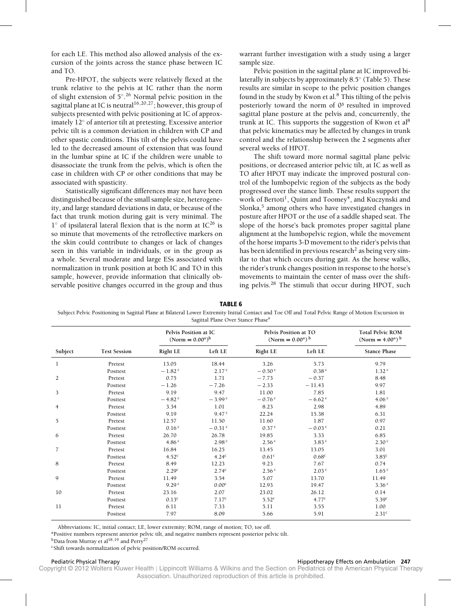for each LE. This method also allowed analysis of the excursion of the joints across the stance phase between IC and TO.

Pre-HPOT, the subjects were relatively flexed at the trunk relative to the pelvis at IC rather than the norm of slight extension of 5◦. <sup>26</sup> Normal pelvic position in the sagittal plane at IC is neutral<sup>16,20,27</sup>; however, this group of subjects presented with pelvic positioning at IC of approximately 12◦ of anterior tilt at pretesting. Excessive anterior pelvic tilt is a common deviation in children with CP and other spastic conditions. This tilt of the pelvis could have led to the decreased amount of extension that was found in the lumbar spine at IC if the children were unable to disassociate the trunk from the pelvis, which is often the case in children with CP or other conditions that may be associated with spasticity.

Statistically significant differences may not have been distinguished because of the small sample size, heterogeneity, and large standard deviations in data, or because of the fact that trunk motion during gait is very minimal. The 1° of ipsilateral lateral flexion that is the norm at IC<sup>26</sup> is so minute that movements of the retroflective markers on the skin could contribute to changes or lack of changes seen in this variable in individuals, or in the group as a whole. Several moderate and large ESs associated with normalization in trunk position at both IC and TO in this sample, however, provide information that clinically observable positive changes occurred in the group and thus

warrant further investigation with a study using a larger sample size.

Pelvic position in the sagittal plane at IC improved bilaterally in subjects by approximately  $8.5^{\circ}$  (Table 5). These results are similar in scope to the pelvic position changes found in the study by Kwon et al. $8$  This tilting of the pelvis posteriorly toward the norm of  $0<sup>3</sup>$  resulted in improved sagittal plane posture at the pelvis and, concurrently, the trunk at IC. This supports the suggestion of Kwon et al<sup>8</sup> that pelvic kinematics may be affected by changes in trunk control and the relationship between the 2 segments after several weeks of HPOT.

The shift toward more normal sagittal plane pelvic positions, or decreased anterior pelvic tilt, at IC as well as TO after HPOT may indicate the improved postural control of the lumbopelvic region of the subjects as the body progressed over the stance limb. These results support the work of Bertoti<sup>1</sup>, Quint and Toomey<sup>4</sup>, and Kuczynski and Slonka, $5$  among others who have investigated changes in posture after HPOT or the use of a saddle shaped seat. The slope of the horse's back promotes proper sagittal plane alignment at the lumbopelvic region, while the movement of the horse imparts 3-D movement to the rider's pelvis that has been identified in previous research<sup>2</sup> as being very similar to that which occurs during gait. As the horse walks, the rider's trunk changes position in response to the horse's movements to maintain the center of mass over the shifting pelvis.28 The stimuli that occur during HPOT, such

**TABLE 6**

Subject Pelvic Positioning in Sagittal Plane at Bilateral Lower Extremity Initial Contact and Toe Off and Total Pelvic Range of Motion Excursion in Sagittal Plane Over Stance Phase<sup>a</sup>

|                |                     | Pelvis Position at IC<br>$(Norm = 0.00^{\circ})^b$ |                      | Pelvis Position at TO<br>(Norm = $0.00^{\circ}$ ) <sup>b</sup> |                      | <b>Total Pelvic ROM</b><br>(Norm = $4.00^{\circ}$ ) <sup>b</sup> |  |
|----------------|---------------------|----------------------------------------------------|----------------------|----------------------------------------------------------------|----------------------|------------------------------------------------------------------|--|
| Subject        | <b>Test Session</b> | Right LE                                           | Left LE              | Right LE                                                       | Left LE              | <b>Stance Phase</b>                                              |  |
| 1              | Pretest             | 13.05                                              | 18.44                | 3.26                                                           | 5.73                 | 9.79                                                             |  |
|                | Posttest            | $-1.82$ <sup>c</sup>                               | 2.17 <sup>c</sup>    | $-0.50$ c                                                      | 0.38 <sup>c</sup>    | 1.32 <sup>c</sup>                                                |  |
| 2              | Pretest             | 0.75                                               | 1.71                 | $-7.73$                                                        | $-0.37$              | 8.48                                                             |  |
|                | Posttest            | $-1.26$                                            | $-7.26$              | $-2.33$                                                        | $-11.43$             | 9.97                                                             |  |
| 3              | Pretest             | 9.19                                               | 9.47                 | 11.00                                                          | 7.85                 | 1.81                                                             |  |
|                | Posttest            | $-4.82$ c                                          | $-3.99$ c            | $-0.76$ <sup>c</sup>                                           | $-6.62$ c            | 4.06 <sup>c</sup>                                                |  |
| $\overline{4}$ | Pretest             | 3.34                                               | 1.01                 | 8.23                                                           | 2.98                 | 4.89                                                             |  |
|                | Posttest            | 9.19                                               | 9.47 <sup>c</sup>    | 22.24                                                          | 15.38                | 6.31                                                             |  |
| 5              | Pretest             | 12.57                                              | 11.50                | 11.60                                                          | 1.87                 | 0.97                                                             |  |
|                | Posttest            | 0.16 <sup>c</sup>                                  | $-0.31$ <sup>c</sup> | 0.37 <sup>c</sup>                                              | $-0.03$ <sup>c</sup> | 0.21                                                             |  |
| 6              | Pretest             | 26.70                                              | 26.78                | 19.85                                                          | 3.33                 | 6.85                                                             |  |
|                | Posttest            | 4.86 $C$                                           | 2.98 <sup>c</sup>    | 2.56 <sup>c</sup>                                              | 3.83c                | 2.30 <sup>c</sup>                                                |  |
| $\overline{7}$ | Pretest             | 16.84                                              | 16.25                | 13.45                                                          | 13.05                | 3.01                                                             |  |
|                | Posttest            | 4.52 <sup>c</sup>                                  | 4.24 <sup>c</sup>    | 0.61 <sup>c</sup>                                              | 0.68 <sup>c</sup>    | 3.85 <sup>c</sup>                                                |  |
| 8              | Pretest             | 8.49                                               | 12.23                | 9.23                                                           | 7.67                 | 0.74                                                             |  |
|                | Posttest            | 2.29 <sup>c</sup>                                  | 2.74 <sup>c</sup>    | 2.56 <sup>c</sup>                                              | 2.03 <sup>c</sup>    | 1.65 <sup>c</sup>                                                |  |
| 9              | Pretest             | 11.49                                              | 3.54                 | 5.07                                                           | 13.70                | 11.49                                                            |  |
|                | Posttest            | 9.29 <sup>c</sup>                                  | 0.00 <sup>c</sup>    | 12.93                                                          | 19.47                | 3.36c                                                            |  |
| 10             | Pretest             | 23.16                                              | 2.07                 | 23.02                                                          | 26.12                | 0.14                                                             |  |
|                | Posttest            | 0.13 <sup>c</sup>                                  | 7.17 <sup>c</sup>    | 5.52 <sup>c</sup>                                              | 4.77 <sup>c</sup>    | 5.39 <sup>c</sup>                                                |  |
| 11             | Pretest             | 6.11                                               | 7.33                 | 5.11                                                           | 3.55                 | 1.00                                                             |  |
|                | Posttest            | 7.97                                               | 8.09                 | 5.66                                                           | 5.91                 | 2.31 <sup>c</sup>                                                |  |

Abbreviations: IC, initial contact; LE, lower extremity; ROM, range of motion; TO, toe off.

<sup>a</sup>Positive numbers represent anterior pelvic tilt, and negative numbers represent posterior pelvic tilt.

<sup>b</sup>Data from Murray et al<sup>18,19</sup> and Perry<sup>27</sup>

cShift towards normalization of pelvic position/ROM occurred.

#### Pediatric Physical Therapy **Microsoft Contracts on Ambulation 247** Alexander Microsoft Contracts on Ambulation 247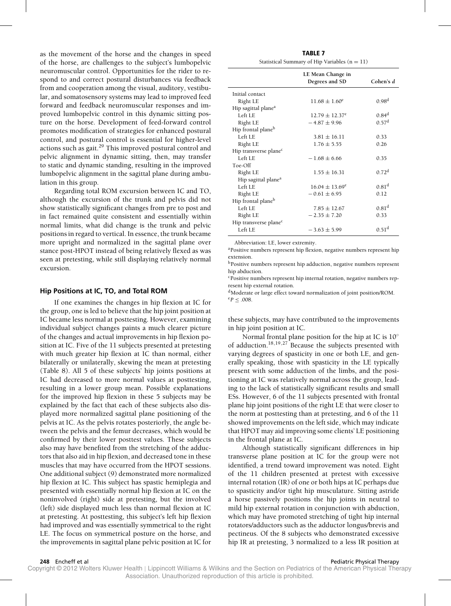as the movement of the horse and the changes in speed of the horse, are challenges to the subject's lumbopelvic neuromuscular control. Opportunities for the rider to respond to and correct postural disturbances via feedback from and cooperation among the visual, auditory, vestibular, and somatosensory systems may lead to improved feed forward and feedback neuromuscular responses and improved lumbopelvic control in this dynamic sitting posture on the horse. Development of feed-forward control promotes modification of strategies for enhanced postural control, and postural control is essential for higher-level actions such as gait.<sup>29</sup> This improved postural control and pelvic alignment in dynamic sitting, then, may transfer to static and dynamic standing, resulting in the improved lumbopelvic alignment in the sagittal plane during ambulation in this group.

Regarding total ROM excursion between IC and TO, although the excursion of the trunk and pelvis did not show statistically significant changes from pre to post and in fact remained quite consistent and essentially within normal limits, what did change is the trunk and pelvic positions in regard to vertical. In essence, the trunk became more upright and normalized in the sagittal plane over stance post-HPOT instead of being relatively flexed as was seen at pretesting, while still displaying relatively normal excursion.

## **Hip Positions at IC, TO, and Total ROM**

If one examines the changes in hip flexion at IC for the group, one is led to believe that the hip joint position at IC became less normal at posttesting. However, examining individual subject changes paints a much clearer picture of the changes and actual improvements in hip flexion position at IC. Five of the 11 subjects presented at pretesting with much greater hip flexion at IC than normal, either bilaterally or unilaterally, skewing the mean at pretesting (Table 8). All 5 of these subjects' hip joints positions at IC had decreased to more normal values at posttesting, resulting in a lower group mean. Possible explanations for the improved hip flexion in these 5 subjects may be explained by the fact that each of these subjects also displayed more normalized sagittal plane positioning of the pelvis at IC. As the pelvis rotates posteriorly, the angle between the pelvis and the femur decreases, which would be confirmed by their lower posttest values. These subjects also may have benefited from the stretching of the adductors that also aid in hip flexion, and decreased tone in these muscles that may have occurred from the HPOT sessions. One additional subject (9) demonstrated more normalized hip flexion at IC. This subject has spastic hemiplegia and presented with essentially normal hip flexion at IC on the noninvolved (right) side at pretesting, but the involved (left) side displayed much less than normal flexion at IC at pretesting. At posttesting, this subject's left hip flexion had improved and was essentially symmetrical to the right LE. The focus on symmetrical posture on the horse, and the improvements in sagittal plane pelvic position at IC for

**TABLE 7** Statistical Summary of Hip Variables  $(n = 11)$ 

|                                   | LE Mean Change in<br>Degrees and SD | Cohen's $d$       |
|-----------------------------------|-------------------------------------|-------------------|
| Initial contact                   |                                     |                   |
| Right LE                          | $11.68 \pm 1.60^e$                  | 0.98 <sup>d</sup> |
| Hip sagittal plane <sup>a</sup>   |                                     |                   |
| Left LE                           | $12.79 + 12.37^e$                   | 0.84 <sup>d</sup> |
| Right LE                          | $-4.87 \pm 9.96$                    | 0.57 <sup>d</sup> |
| Hip frontal plane <sup>b</sup>    |                                     |                   |
| $I$ eft $I$ $F$                   | $3.81 \pm 16.11$                    | 0.33              |
| Right LE                          | $1.76 \pm 5.55$                     | 0.26              |
| Hip transverse plane <sup>c</sup> |                                     |                   |
| $I$ eft $I$ $F$                   | $-1.68 + 6.66$                      | 0.35              |
| Toe-Off                           |                                     |                   |
| Right LE                          | $1.55 \pm 16.31$                    | 0.72 <sup>d</sup> |
| Hip sagittal plane <sup>a</sup>   |                                     |                   |
| Left LE                           | $16.04 \pm 13.69^e$                 | 0.81 <sup>d</sup> |
| Right LE                          | $-0.61 \pm 6.95$                    | 0.12              |
| Hip frontal plane <sup>b</sup>    |                                     |                   |
| Left LE                           | $7.85 \pm 12.67$                    | 0.81 <sup>d</sup> |
| Right LE                          | $-2.35 \pm 7.20$                    | 0.33              |
| Hip transverse plane <sup>c</sup> |                                     |                   |
| Left LE                           | $-3.63 \pm 5.99$                    | 0.51 <sup>d</sup> |

Abbreviation: LE, lower extremity.

aPositive numbers represent hip flexion, negative numbers represent hip extension.

b<sub>Positive numbers represent hip adduction, negative numbers represent</sub> hip abduction.

cPositive numbers represent hip internal rotation, negative numbers represent hip external rotation.

dModerate or large effect toward normalization of joint position/ROM.  ${}^{e}P$  < .008.

these subjects, may have contributed to the improvements in hip joint position at IC.

Normal frontal plane position for the hip at IC is  $10^\circ$ of adduction.18,19,27 Because the subjects presented with varying degrees of spasticity in one or both LE, and generally speaking, those with spasticity in the LE typically present with some adduction of the limbs, and the positioning at IC was relatively normal across the group, leading to the lack of statistically significant results and small ESs. However, 6 of the 11 subjects presented with frontal plane hip joint positions of the right LE that were closer to the norm at posttesting than at pretesting, and 6 of the 11 showed improvements on the left side, which may indicate that HPOT may aid improving some clients' LE positioning in the frontal plane at IC.

Although statistically significant differences in hip transverse plane position at IC for the group were not identified, a trend toward improvement was noted. Eight of the 11 children presented at pretest with excessive internal rotation (IR) of one or both hips at IC perhaps due to spasticity and/or tight hip musculature. Sitting astride a horse passively positions the hip joints in neutral to mild hip external rotation in conjunction with abduction, which may have promoted stretching of tight hip internal rotators/adductors such as the adductor longus/brevis and pectineus. Of the 8 subjects who demonstrated excessive hip IR at pretesting, 3 normalized to a less IR position at

#### **248** Encheff et al **Pediatric Physical Therapy Pediatric Physical Therapy Pediatric Physical Therapy**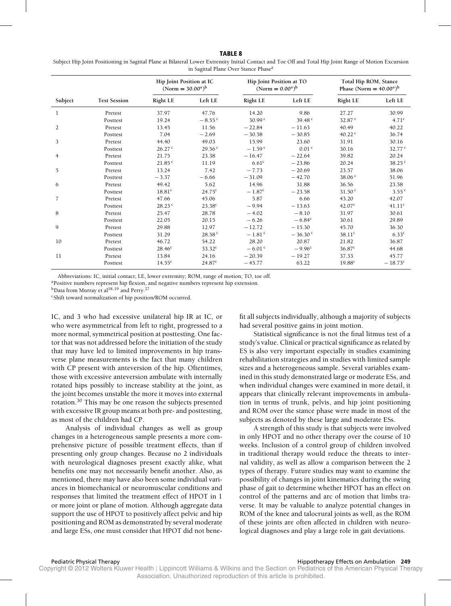#### **TABLE 8**

Subject Hip Joint Positioning in Sagittal Plane at Bilateral Lower Extremity Initial Contact and Toe Off and Total Hip Joint Range of Motion Excursion in Sagittal Plane Over Stance Phase<sup>a</sup>

|                |                     | Hip Joint Position at IC<br>$(Norm = 30.00^{\circ})^b$ |                      | Hip Joint Position at TO<br>(Norm = $0.00^{\circ}$ ) <sup>b</sup> |                   | Total Hip ROM, Stance<br>Phase (Norm = $40.00^\circ$ ) <sup>b</sup> |                    |
|----------------|---------------------|--------------------------------------------------------|----------------------|-------------------------------------------------------------------|-------------------|---------------------------------------------------------------------|--------------------|
| Subject        | <b>Test Session</b> | <b>Right LE</b>                                        | Left LE              | <b>Right LE</b>                                                   | Left LE           | <b>Right LE</b>                                                     | Left LE            |
| 1              | Pretest             | 37.97                                                  | 47.76                | 14.20                                                             | 9.86              | 27.27                                                               | 30.99              |
|                | Posttest            | 19.24                                                  | $-8.55$ <sup>c</sup> | 30.99 <sup>c</sup>                                                | 39.48 $c$         | 32.87 <sup>c</sup>                                                  | 4.71 <sup>c</sup>  |
| $\overline{2}$ | Pretest             | 13.45                                                  | 11.56                | $-22.84$                                                          | $-11.63$          | 40.49                                                               | 40.22              |
|                | Posttest            | 7.04                                                   | $-2.69$              | $-30.58$                                                          | $-30.85$          | 40.22 $c$                                                           | 36.74              |
| 3              | Pretest             | 44.40                                                  | 49.03                | 15.99                                                             | 23.60             | 31.91                                                               | 30.16              |
|                | Posttest            | 26.27c                                                 | 29.56c               | $-1.59$ <sup>c</sup>                                              | 0.01 <sup>c</sup> | 30.16                                                               | 32.77c             |
| 4              | Pretest             | 21.75                                                  | 23.38                | $-16.47$                                                          | $-22.64$          | 39.82                                                               | 20.24              |
|                | Posttest            | 21.85 <sup>c</sup>                                     | 11.19                | 6.61 <sup>c</sup>                                                 | $-23.86$          | 20.24                                                               | 38.25 <sup>c</sup> |
| 5              | Pretest             | 13.24                                                  | 7.42                 | $-7.73$                                                           | $-20.69$          | 23.57                                                               | 38.06              |
|                | Posttest            | $-3.37$                                                | $-6.66$              | $-31.09$                                                          | $-42.70$          | 38.06 <sup>c</sup>                                                  | 51.96              |
| 6              | Pretest             | 49.42                                                  | 5.62                 | 14.96                                                             | 31.88             | 36.56                                                               | 23.58              |
|                | Posttest            | 18.81 <sup>c</sup>                                     | $24.75^c$            | $-1.87^{\rm c}$                                                   | $-23.58$          | 31.50 <sup>c</sup>                                                  | 3.55c              |
| $\overline{7}$ | Pretest             | 47.66                                                  | 45.06                | 5.87                                                              | 6.66              | 43.20                                                               | 42.07              |
|                | Posttest            | 28.23 <sup>c</sup>                                     | $23.38^c$            | $-9.94$                                                           | $-13.63$          | 42.07 <sup>c</sup>                                                  | 41.11 <sup>c</sup> |
| 8              | Pretest             | 25.47                                                  | 28.78                | $-4.02$                                                           | $-8.10$           | 31.97                                                               | 30.61              |
|                | Posttest            | 22.05                                                  | 20.15                | $-6.26$                                                           | $-6.84^c$         | 30.61                                                               | 29.89              |
| 9              | Pretest             | 29.88                                                  | 12.97                | $-12.72$                                                          | $-15.30$          | 45.70                                                               | 36.30              |
|                | Posttest            | 31.29                                                  | 28.58 <sup>c</sup>   | $-1.81$ <sup>c</sup>                                              | $-36.30$ c        | 38.11c                                                              | 6.33c              |
| 10             | Pretest             | 46.72                                                  | 54.22                | 28.20                                                             | 20.87             | 21.82                                                               | 36.87              |
|                | Posttest            | 28.46 <sup>c</sup>                                     | 33.32 <sup>c</sup>   | $-6.01$ c                                                         | $-9.96^{\circ}$   | 36.87c                                                              | 44.68              |
| 11             | Pretest             | 13.84                                                  | 24.16                | $-20.39$                                                          | $-19.27$          | 37.33                                                               | 45.77              |
|                | Posttest            | $14.55^c$                                              | 24.87 <sup>c</sup>   | $-45.77$                                                          | 63.22             | $19.88^c$                                                           | $-18.73^{\circ}$   |

Abbreviations: IC, initial contact; LE, lower extremity; ROM, range of motion; TO, toe off.

<sup>a</sup>Positive numbers represent hip flexion, and negative numbers represent hip extension.

 $<sup>b</sup>$ Data from Murray et al<sup>18,19</sup> and Perry.<sup>27</sup></sup>

cShift toward normalization of hip position/ROM occurred.

IC, and 3 who had excessive unilateral hip IR at IC, or who were asymmetrical from left to right, progressed to a more normal, symmetrical position at posttesting. One factor that was not addressed before the initiation of the study that may have led to limited improvements in hip transverse plane measurements is the fact that many children with CP present with anteversion of the hip. Oftentimes, those with excessive anteversion ambulate with internally rotated hips possibly to increase stability at the joint, as the joint becomes unstable the more it moves into external rotation.<sup>30</sup> This may be one reason the subjects presented with excessive IR group means at both pre- and posttesting, as most of the children had CP.

Analysis of individual changes as well as group changes in a heterogeneous sample presents a more comprehensive picture of possible treatment effects, than if presenting only group changes. Because no 2 individuals with neurological diagnoses present exactly alike, what benefits one may not necessarily benefit another. Also, as mentioned, there may have also been some individual variances in biomechanical or neuromuscular conditions and responses that limited the treatment effect of HPOT in 1 or more joint or plane of motion. Although aggregate data support the use of HPOT to positively affect pelvic and hip positioning and ROM as demonstrated by several moderate and large ESs, one must consider that HPOT did not benefit all subjects individually, although a majority of subjects had several positive gains in joint motion.

Statistical significance is not the final litmus test of a study's value. Clinical or practical significance as related by ES is also very important especially in studies examining rehabilitation strategies and in studies with limited sample sizes and a heterogeneous sample. Several variables examined in this study demonstrated large or moderate ESs, and when individual changes were examined in more detail, it appears that clinically relevant improvements in ambulation in terms of trunk, pelvis, and hip joint positioning and ROM over the stance phase were made in most of the subjects as denoted by these large and moderate ESs.

A strength of this study is that subjects were involved in only HPOT and no other therapy over the course of 10 weeks. Inclusion of a control group of children involved in traditional therapy would reduce the threats to internal validity, as well as allow a comparison between the 2 types of therapy. Future studies may want to examine the possibility of changes in joint kinematics during the swing phase of gait to determine whether HPOT has an effect on control of the patterns and arc of motion that limbs traverse. It may be valuable to analyze potential changes in ROM of the knee and talocrural joints as well, as the ROM of these joints are often affected in children with neurological diagnoses and play a large role in gait deviations.

#### Pediatric Physical Therapy **Microsoft Contracts on Ambulation 249** Pediatric Physical Therapy Effects on Ambulation 249